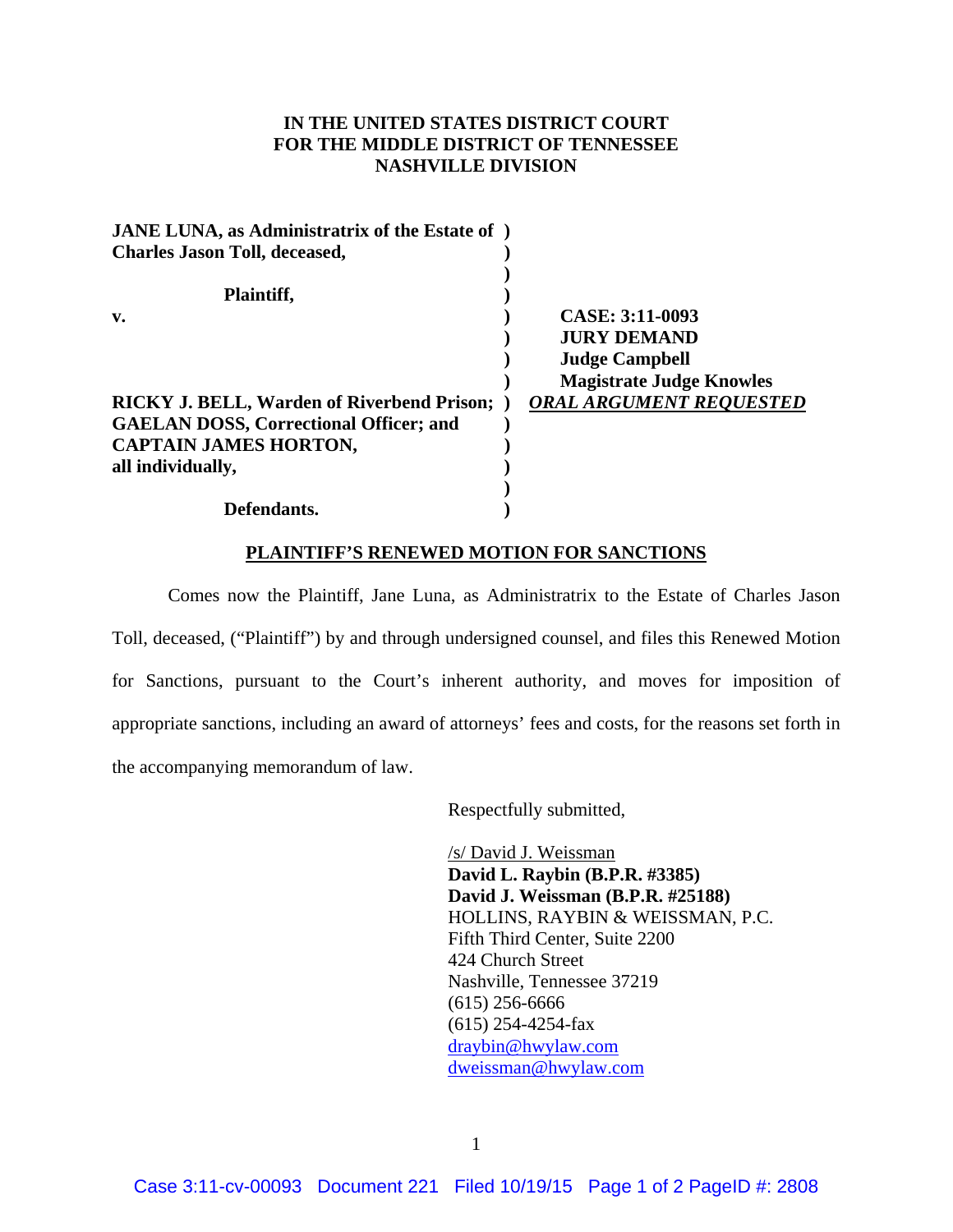## **IN THE UNITED STATES DISTRICT COURT FOR THE MIDDLE DISTRICT OF TENNESSEE NASHVILLE DIVISION**

| <b>JANE LUNA, as Administratrix of the Estate of</b> ) |                                 |
|--------------------------------------------------------|---------------------------------|
| <b>Charles Jason Toll, deceased,</b>                   |                                 |
| Plaintiff,                                             |                                 |
| $\mathbf{v}$ .                                         | CASE: 3:11-0093                 |
|                                                        | <b>JURY DEMAND</b>              |
|                                                        | <b>Judge Campbell</b>           |
|                                                        | <b>Magistrate Judge Knowles</b> |
| <b>RICKY J. BELL, Warden of Riverbend Prison;</b>      | <b>ORAL ARGUMENT REQUESTED</b>  |
| <b>GAELAN DOSS, Correctional Officer; and</b>          |                                 |
| <b>CAPTAIN JAMES HORTON,</b>                           |                                 |
| all individually,                                      |                                 |
|                                                        |                                 |
| Defendants.                                            |                                 |

## **PLAINTIFF'S RENEWED MOTION FOR SANCTIONS**

Comes now the Plaintiff, Jane Luna, as Administratrix to the Estate of Charles Jason Toll, deceased, ("Plaintiff") by and through undersigned counsel, and files this Renewed Motion for Sanctions, pursuant to the Court's inherent authority, and moves for imposition of appropriate sanctions, including an award of attorneys' fees and costs, for the reasons set forth in the accompanying memorandum of law.

Respectfully submitted,

 /s/ David J. Weissman **David L. Raybin (B.P.R. #3385) David J. Weissman (B.P.R. #25188)**  HOLLINS, RAYBIN & WEISSMAN, P.C. Fifth Third Center, Suite 2200 424 Church Street Nashville, Tennessee 37219 (615) 256-6666 (615) 254-4254-fax draybin@hwylaw.com dweissman@hwylaw.com